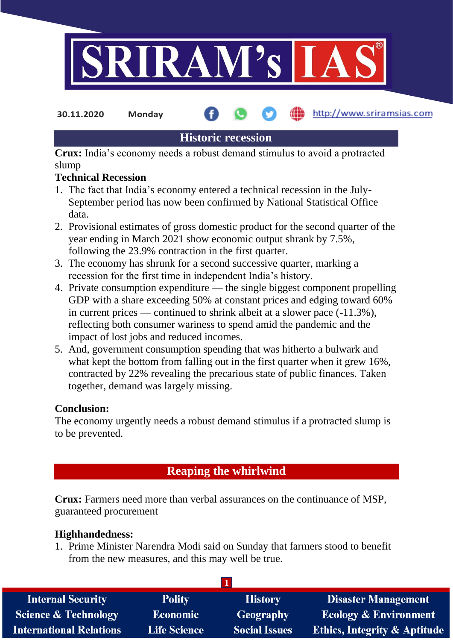

**30.11.2020 Monday**

# http://www.sriramsias.com

# **Historic recession**

**Crux:** India's economy needs a robust demand stimulus to avoid a protracted slump

# **Technical Recession**

- 1. The fact that India's economy entered a technical recession in the July-September period has now been confirmed by National Statistical Office data.
- 2. Provisional estimates of gross domestic product for the second quarter of the year ending in March 2021 show economic output shrank by 7.5%, following the 23.9% contraction in the first quarter.
- 3. The economy has shrunk for a second successive quarter, marking a recession for the first time in independent India's history.
- 4. Private consumption expenditure the single biggest component propelling GDP with a share exceeding 50% at constant prices and edging toward 60% in current prices — continued to shrink albeit at a slower pace (-11.3%), reflecting both consumer wariness to spend amid the pandemic and the impact of lost jobs and reduced incomes.
- 5. And, government consumption spending that was hitherto a bulwark and what kept the bottom from falling out in the first quarter when it grew 16%, contracted by 22% revealing the precarious state of public finances. Taken together, demand was largely missing.

#### **Conclusion:**

The economy urgently needs a robust demand stimulus if a protracted slump is to be prevented.

# **Reaping the whirlwind**

**Crux:** Farmers need more than verbal assurances on the continuance of MSP, guaranteed procurement

# **Highhandedness:**

1. Prime Minister Narendra Modi said on Sunday that farmers stood to benefit from the new measures, and this may well be true.

| <b>Internal Security</b>        | <b>Polity</b>       | <b>History</b>       | <b>Disaster Management</b>              |  |  |
|---------------------------------|---------------------|----------------------|-----------------------------------------|--|--|
| <b>Science &amp; Technology</b> | <b>Economic</b>     | <b>Geography</b>     | <b>Ecology &amp; Environment</b>        |  |  |
| <b>International Relations</b>  | <b>Life Science</b> | <b>Social Issues</b> | <b>Ethics, Integrity &amp; Aptitude</b> |  |  |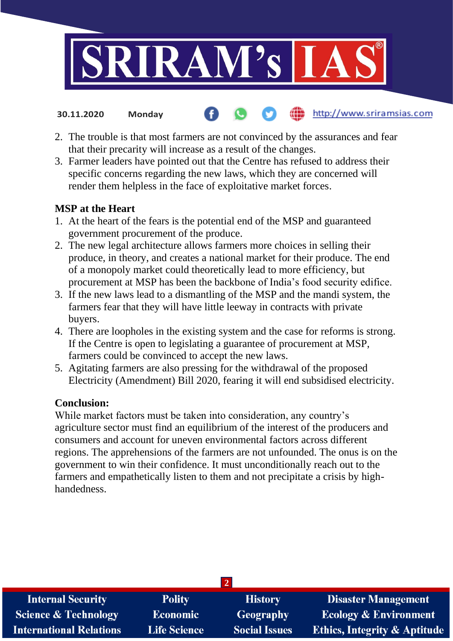

2. The trouble is that most farmers are not convinced by the assurances and fear

http://www.sriramsias.com

- that their precarity will increase as a result of the changes.
- 3. Farmer leaders have pointed out that the Centre has refused to address their specific concerns regarding the new laws, which they are concerned will render them helpless in the face of exploitative market forces.

# **MSP at the Heart**

**30.11.2020 Monday**

- 1. At the heart of the fears is the potential end of the MSP and guaranteed government procurement of the produce.
- 2. The new legal architecture allows farmers more choices in selling their produce, in theory, and creates a national market for their produce. The end of a monopoly market could theoretically lead to more efficiency, but procurement at MSP has been the backbone of India's food security edifice.
- 3. If the new laws lead to a dismantling of the MSP and the mandi system, the farmers fear that they will have little leeway in contracts with private buyers.
- 4. There are loopholes in the existing system and the case for reforms is strong. If the Centre is open to legislating a guarantee of procurement at MSP, farmers could be convinced to accept the new laws.
- 5. Agitating farmers are also pressing for the withdrawal of the proposed Electricity (Amendment) Bill 2020, fearing it will end subsidised electricity.

#### **Conclusion:**

While market factors must be taken into consideration, any country's agriculture sector must find an equilibrium of the interest of the producers and consumers and account for uneven environmental factors across different regions. The apprehensions of the farmers are not unfounded. The onus is on the government to win their confidence. It must unconditionally reach out to the farmers and empathetically listen to them and not precipitate a crisis by highhandedness.

| <b>Internal Security</b>        | <b>Polity</b>       | <b>History</b>       | <b>Disaster Management</b>              |  |  |  |
|---------------------------------|---------------------|----------------------|-----------------------------------------|--|--|--|
| <b>Science &amp; Technology</b> | <b>Economic</b>     | <b>Geography</b>     | <b>Ecology &amp; Environment</b>        |  |  |  |
| <b>International Relations</b>  | <b>Life Science</b> | <b>Social Issues</b> | <b>Ethics, Integrity &amp; Aptitude</b> |  |  |  |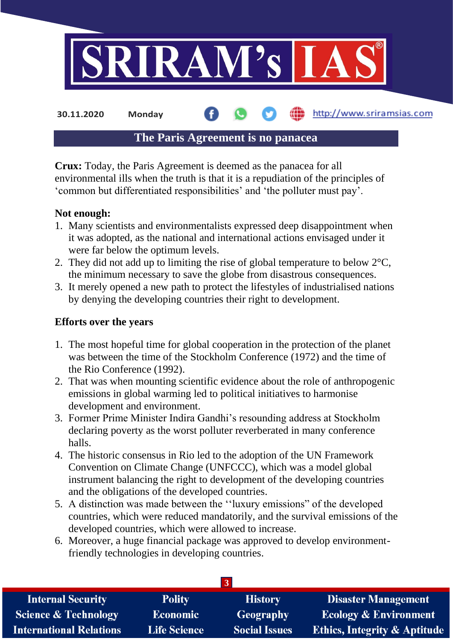

# **The Paris Agreement is no panacea**

**Crux:** Today, the Paris Agreement is deemed as the panacea for all environmental ills when the truth is that it is a repudiation of the principles of 'common but differentiated responsibilities' and 'the polluter must pay'.

### **Not enough:**

- 1. Many scientists and environmentalists expressed deep disappointment when it was adopted, as the national and international actions envisaged under it were far below the optimum levels.
- 2. They did not add up to limiting the rise of global temperature to below 2°C, the minimum necessary to save the globe from disastrous consequences.
- 3. It merely opened a new path to protect the lifestyles of industrialised nations by denying the developing countries their right to development.

#### **Efforts over the years**

- 1. The most hopeful time for global cooperation in the protection of the planet was between the time of the Stockholm Conference (1972) and the time of the Rio Conference (1992).
- 2. That was when mounting scientific evidence about the role of anthropogenic emissions in global warming led to political initiatives to harmonise development and environment.
- 3. Former Prime Minister Indira Gandhi's resounding address at Stockholm declaring poverty as the worst polluter reverberated in many conference halls.
- 4. The historic consensus in Rio led to the adoption of the UN Framework Convention on Climate Change (UNFCCC), which was a model global instrument balancing the right to development of the developing countries and the obligations of the developed countries.
- 5. A distinction was made between the ''luxury emissions" of the developed countries, which were reduced mandatorily, and the survival emissions of the developed countries, which were allowed to increase.
- 6. Moreover, a huge financial package was approved to develop environmentfriendly technologies in developing countries.

| <b>Internal Security</b>        | <b>Polity</b>       | <b>History</b>       | <b>Disaster Management</b>              |
|---------------------------------|---------------------|----------------------|-----------------------------------------|
| <b>Science &amp; Technology</b> | <b>Economic</b>     | <b>Geography</b>     | <b>Ecology &amp; Environment</b>        |
| <b>International Relations</b>  | <b>Life Science</b> | <b>Social Issues</b> | <b>Ethics, Integrity &amp; Aptitude</b> |